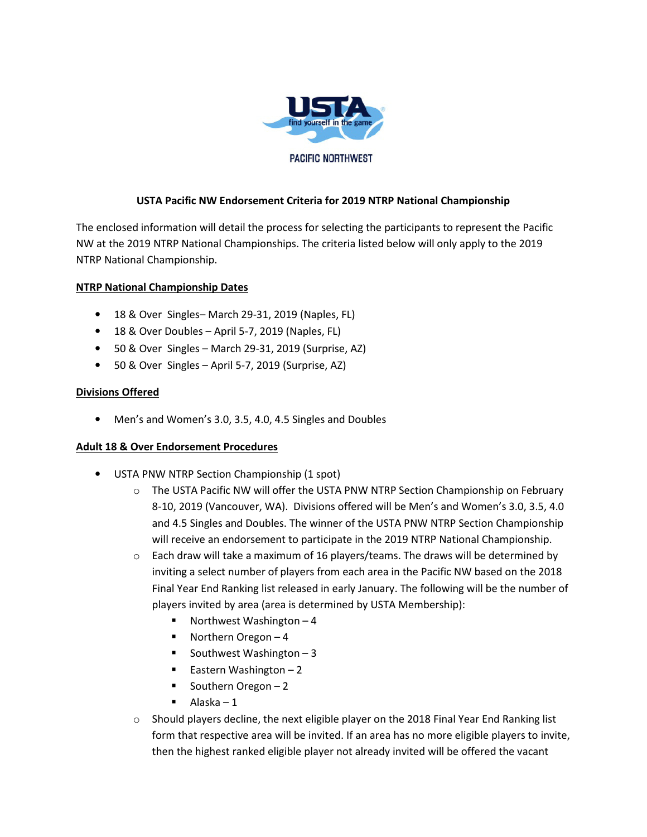

# **USTA Pacific NW Endorsement Criteria for 2019 NTRP National Championship**

The enclosed information will detail the process for selecting the participants to represent the Pacific NW at the 2019 NTRP National Championships. The criteria listed below will only apply to the 2019 NTRP National Championship.

## **NTRP National Championship Dates**

- 18 & Over Singles– March 29-31, 2019 (Naples, FL)
- 18 & Over Doubles April 5-7, 2019 (Naples, FL)
- 50 & Over Singles March 29-31, 2019 (Surprise, AZ)
- 50 & Over Singles April 5-7, 2019 (Surprise, AZ)

## **Divisions Offered**

• Men's and Women's 3.0, 3.5, 4.0, 4.5 Singles and Doubles

#### **Adult 18 & Over Endorsement Procedures**

- USTA PNW NTRP Section Championship (1 spot)
	- $\circ$  The USTA Pacific NW will offer the USTA PNW NTRP Section Championship on February 8-10, 2019 (Vancouver, WA). Divisions offered will be Men's and Women's 3.0, 3.5, 4.0 and 4.5 Singles and Doubles. The winner of the USTA PNW NTRP Section Championship will receive an endorsement to participate in the 2019 NTRP National Championship.
	- $\circ$  Each draw will take a maximum of 16 players/teams. The draws will be determined by inviting a select number of players from each area in the Pacific NW based on the 2018 Final Year End Ranking list released in early January. The following will be the number of players invited by area (area is determined by USTA Membership):
		- Northwest Washington  $-4$
		- $\blacksquare$  Northern Oregon 4
		- Southwest Washington 3
		- **Eastern Washington 2**
		- Southern Oregon  $-2$
		- $\blacksquare$  Alaska 1
	- $\circ$  Should players decline, the next eligible player on the 2018 Final Year End Ranking list form that respective area will be invited. If an area has no more eligible players to invite, then the highest ranked eligible player not already invited will be offered the vacant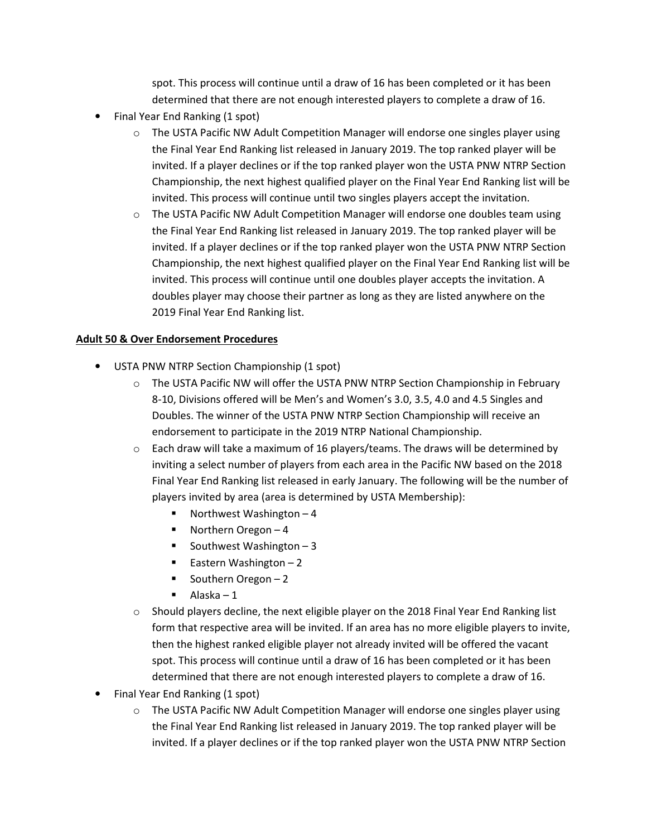spot. This process will continue until a draw of 16 has been completed or it has been determined that there are not enough interested players to complete a draw of 16.

- Final Year End Ranking (1 spot)
	- $\circ$  The USTA Pacific NW Adult Competition Manager will endorse one singles player using the Final Year End Ranking list released in January 2019. The top ranked player will be invited. If a player declines or if the top ranked player won the USTA PNW NTRP Section Championship, the next highest qualified player on the Final Year End Ranking list will be invited. This process will continue until two singles players accept the invitation.
	- $\circ$  The USTA Pacific NW Adult Competition Manager will endorse one doubles team using the Final Year End Ranking list released in January 2019. The top ranked player will be invited. If a player declines or if the top ranked player won the USTA PNW NTRP Section Championship, the next highest qualified player on the Final Year End Ranking list will be invited. This process will continue until one doubles player accepts the invitation. A doubles player may choose their partner as long as they are listed anywhere on the 2019 Final Year End Ranking list.

# **Adult 50 & Over Endorsement Procedures**

- USTA PNW NTRP Section Championship (1 spot)
	- o The USTA Pacific NW will offer the USTA PNW NTRP Section Championship in February 8-10, Divisions offered will be Men's and Women's 3.0, 3.5, 4.0 and 4.5 Singles and Doubles. The winner of the USTA PNW NTRP Section Championship will receive an endorsement to participate in the 2019 NTRP National Championship.
	- $\circ$  Each draw will take a maximum of 16 players/teams. The draws will be determined by inviting a select number of players from each area in the Pacific NW based on the 2018 Final Year End Ranking list released in early January. The following will be the number of players invited by area (area is determined by USTA Membership):
		- Northwest Washington  $-4$
		- Northern Oregon 4
		- Southwest Washington  $-3$
		- Eastern Washington  $-2$
		- Southern Oregon  $-2$
		- $\blacksquare$  Alaska 1
	- $\circ$  Should players decline, the next eligible player on the 2018 Final Year End Ranking list form that respective area will be invited. If an area has no more eligible players to invite, then the highest ranked eligible player not already invited will be offered the vacant spot. This process will continue until a draw of 16 has been completed or it has been determined that there are not enough interested players to complete a draw of 16.
- Final Year End Ranking (1 spot)
	- $\circ$  The USTA Pacific NW Adult Competition Manager will endorse one singles player using the Final Year End Ranking list released in January 2019. The top ranked player will be invited. If a player declines or if the top ranked player won the USTA PNW NTRP Section